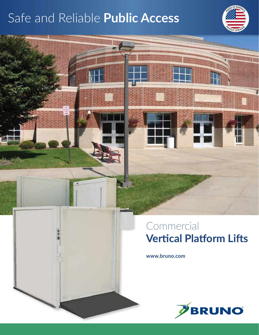# Safe and Reliable **Public Access**



## Commercial **Vertical Platform Lifts**

**www.bruno.com**

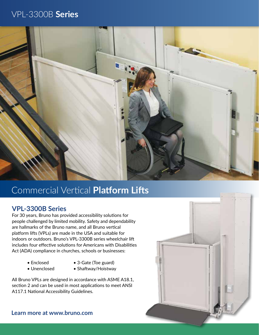### VPL-3300B **Series**



## Commercial Vertical **Platform Lifts**

### **VPL-3300B Series**

For 30 years, Bruno has provided accessibility solutions for people challenged by limited mobility. Safety and dependability are hallmarks of the Bruno name, and all Bruno vertical platform lifts (VPLs) are made in the USA and suitable for indoors or outdoors. Bruno's VPL-3300B series wheelchair lift includes four effective solutions for Americans with Disabilities Act (ADA) compliance in churches, schools or businesses:

- Enclosed
- 3-Gate (Toe guard)
- Unenclosed
- 
- Shaftway/Hoistway

All Bruno VPLs are designed in accordance with ASME A18.1, section 2 and can be used in most applications to meet ANSI A117.1 National Accessibility Guidelines.

**Learn more at www.bruno.com**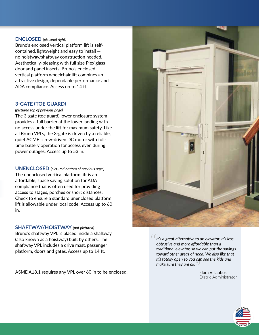#### **ENCLOSED** *(pictured right)*

Bruno's enclosed vertical platform lift is selfcontained, lightweight and easy to install no hoistway/shaftway construction needed. Aesthetically-pleasing with full size Plexiglass door and panel inserts, Bruno's enclosed vertical platform wheelchair lift combines an attractive design, dependable performance and ADA compliance. Access up to 14 ft.

#### **3-GATE (TOE GUARD)**

*(pictured top of previous page)*

The 3-gate (toe guard) lower enclosure system provides a full barrier at the lower landing with no access under the lift for maximum safety. Like all Bruno VPLs, the 3-gate is driven by a reliable, quiet ACME screw-driven DC motor with fulltime battery operation for access even during power outages. Access up to 53 in.

**UNENCLOSED** *(pictured bottom of previous page)* The unenclosed vertical platform lift is an affordable, space saving solution for ADA compliance that is often used for providing access to stages, porches or short distances. Check to ensure a standard unenclosed platform lift is allowable under local code. Access up to 60 in.

#### **SHAFTWAY/HOISTWAY** *(not pictured)*

Bruno's shaftway VPL is placed inside a shaftway (also known as a hoistway) built by others. The shaftway VPL includes a drive mast, passenger platform, doors and gates. Access up to 14 ft.

ASME A18.1 requires any VPL over 60 in to be enclosed.



*It's a great alternative to an elevator. It's less obtrusive and more affordable than a traditional elevator, so we can put the savings toward other areas of need. We also like that it's totally open so you can see the kids and make sure they are ok. "*

 -Tara Villaobos Distric Administrator